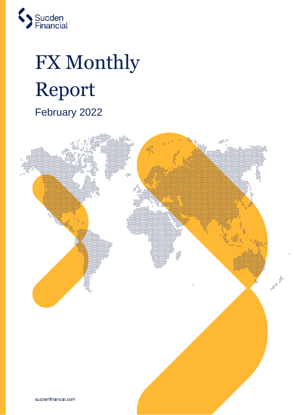

# FX Monthly Report February 2022

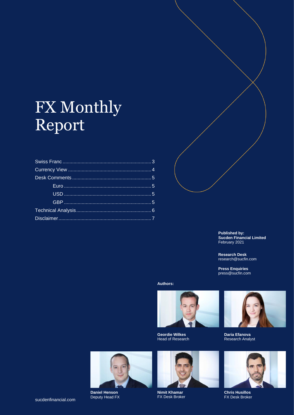# FX Monthly Report



**Published by: Sucden Financial Limited**  February 2021

**Research Desk**  research@sucfin.com

**Press Enquiries**  press@sucfin.com

**Authors:**



**Geordie Wilkes**  Head of Research



**Daria Efanova**  Research Analyst



**Daniel Henson** Deputy Head FX



**Nimit Khamar** FX Desk Broker



**Chris Husillos** FX Desk Broker

sucdenfinancial.com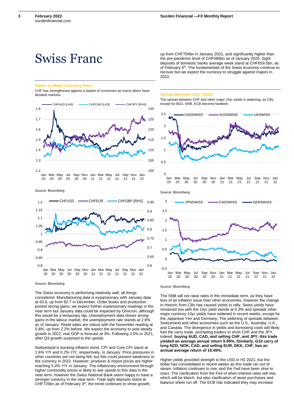**3**

# <span id="page-2-0"></span>Swiss Franc

#### **Swiss vs Major Currency Pairs**

CHF has strengthened against a basket of currencies as macro jitters have dictated markets



Source: Bloomberg



Source: Bloomberg

The Swiss economy is performing relatively well, all things considered. Manufacturing data is expansionary with January data at 63.8, up from 62.7 in December. Order books and production posted strong gains, we expect further expansionary readings in the near term but January data could be impacted by Omicron, although this would be a temporary dip. Unemployment data shows strong gains in the labour market, the unemployment rate stands at 2.6% as of January. Retail sales are robust with the November reading at 5.8%, up from 2.2% before. We expect the economy to post steady growth in 2022, real GDP is forecast at 3%. Following 3.5% in 2021, after Q3 growth surprised to the upside.

Switzerland is bucking inflation trend, CPI and Core CPI stand at 1.6% Y/Y and 0.2% Y/Y, respectively, in January. Price pressures in other countries are not being felt, but this could present weakness to the currency in 2022. However, producer & import prices are higher reaching 5.4% Y/Y in January. The inflationary environment through higher commodity prices is likely to see upside to this data in the near term, however the Swiss National Bank seem happy to have a stronger currency in the near term. Total sight deposits stand at CHF725bn as of February 4<sup>th</sup>, the trend continues to show growth,

up from CHF704bn in January 2021, and significantly higher than the pre-pandemic level of CHF585bn as of January 2020. Sight deposits of domestic banks average week stand at CHF659.5bn, as of February 4<sup>th</sup>. The fundamentals of the Swiss economy continue to recover but we expect the currency to struggle against majors in 2022.

#### **Spread Between 10yr Yields**

The spread between CHF and other major 10yr yields is widening, as CBs except for BOJ, SNB, ECB become hawkish.



Source: Bloomberg

The SNB will not raise rates in the immediate term, as they have less of an inflation issue than other economies, however the change in rhetoric from CBs has caused yields to rally. Swiss yields have remained low with the 10yr yield stands at 0.3% and spreads other major currency 10yr yields have widened in recent weeks, except for the Japanese Yen and Germany. The widening of spreads between Switzerland and other economies such as the U.S., Australia, U.K., and Canada. The divergence in yields and borrowing costs will likely fuel the carry trade, prompting traders to short CHF and the JPY, indeed, **buying AUD, CAD, and selling CHF, and JPY, this trade yielded an average annual return 9.95%. Similarly, G10 carry of long NZD, NOK, CAD, and selling EUR, DKK, CHF, has an annual average return of 10.45%.**

Higher yields provided strength to the USD in H2 2021, but the dollar has consolidated in recent weeks as this trade ran out of steam. Inflation continues to rise, and the Fed have been slow to react. The clarification from the Fed of when interest rates will rise, which will be March, but also clarification of asset purchases and balance sheet run off. The ECB has indicated they may increase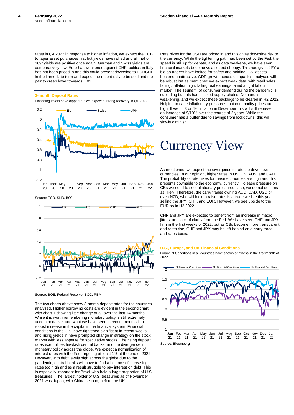**4**

rates in Q4 2022 in response to higher inflation, we expect the ECB to taper asset purchases first but yields have rallied and all mahor 10yr yields are positive once again. German and Swiss yields are comparatively low. Euro has weakened against CHF, politics in Italy has not been priced in and this could present downside to EURCHF in the immediate term and expect the recent rally to be sold and the pair to creep lower towards 1.02.

### **3-month Deposit Rates**

Financing levels have dipped but we expect a strong recovery in Q1 2022.



Source: BOE, Federal Reserve, BOC, RBA

The two charts above show 3-month deposit rates for the countries analysed. Higher borrowing costs are evident in the second chart with chart 1 showing little change at all over the last 14 months. While it is worth remembering monetary policy is still extremely accommodative, and what we have seen in recent months is a robust increase in the capital in the financial system. Financial conditions in the U.S. have tightened significant in recent weeks, and rising yields in have prompted change in strategy on the stock market with less appetite for speculative stocks. The rising deposit rates exemplifies hawkish central banks, and the divergence in monetary policy across the globe. We expect a normalization of interest rates with the Fed targeting at least 1% at the end of 2022. However, with debt levels high across the globe due to the pandemic, central banks will have to find a balance of increasing rates too high and as a result struggle to pay interest on debt. This is especially important for Brazil who hold a large proportion of U.S. treasuries. The largest holder of U.S. treasuries as of November 2021 was Japan, with China second, before the UK.

Rate hikes for the USD are priced in and this gives downside risk to the currency. While the tightening path has been set by the Fed, the speed is still up for debate, and as data weakens, we have seen financial markets become volatile and choppy. This has given JPY a bid as traders have looked for safety and holding U.S. assets became unattractive. GDP growth across companies analysed will be robust but as mentioned we expect weak data, with retail sales falling, inflation high, falling real earnings, amid a tight labour market. The Tsunami of consumer demand during the pandemic is subsiding but this has blocked supply-chains. Demand is weakening, and we expect these backlogs to be cleared in H2 2022. Helping to ease inflationary pressures, but commodity prices are high. If we hit 3 or 4% inflation in December this will still represent an increase of 9/10% over the course of 2 years. While the consumer has a buffer due to savings from lockdowns, this will slowly diminish.

# <span id="page-3-0"></span>Currency View

As mentioned, we expect the divergence in rates to drive flows in currencies. In our opinion, higher rates in US, UK, AUS, and CAD. The probability of rate hikes for these economies are high and this presents downside to the economy, currently. To ease pressure on CBs we need to see inflationary pressures ease, we do not see this as likely. Therefore, the carry trades owning AUD, CAD, USD or even NZD, who will look to raise rates is a trade we like this year, selling the JPY, CHF, and EUR. However, we see upside to the EUR so in H2 2022.

CHF and JPY are expected to benefit from an increase in macro jitters, and lack of clarity from the Fed. We have seen CHF and JPY firm in the first weeks of 2022, but as CBs become more transparent and rates rise, CHF and JPY may be left behind on a carry trade and rates basis.

## **U.S., Europe, and UK Financial Conditions**

Financial Conditions in all countries have shown tightness in the first month of 2022.



22

Source: Bloomberg 21 21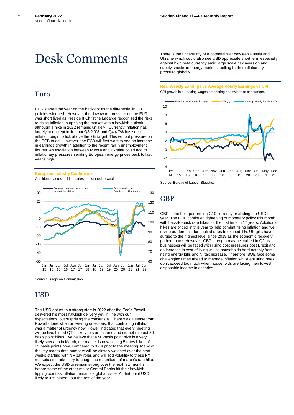**5**

# <span id="page-4-0"></span>Desk Comments

# <span id="page-4-1"></span>Euro

EUR started the year on the backfoot as the differential in CB policies widened. However, the downward pressure on the EUR was short lived as President Christine Lagarde recognised the risks to rising inflation, surprising the market with a hawkish outlook although a hike in 2022 remains unlikely. Currently inflation has largely been kept in line but Q3 2.9% and Q4 4.7% has seen inflation begin to tick above the 2% target. This will put pressure on the ECB to act. However, the ECB will first want to see an increase in earnings growth in addition to the recent fall in unemployment figures. An escalation between Russia and Ukraine could add to inflationary pressures sending European energy prices back to last year's high.

#### **European Industry Confidence**

Confidence across all industries has started to weaken



Source: European Commission

# <span id="page-4-2"></span>**USD**

The USD got off to a strong start in 2022 after the Fed's Powell delivered his most hawkish delivery yet, in line with our expectations, but surprising the consensus. There was a sense from Powell's tone when answering questions, that controlling inflation was a matter of urgency now. Powell indicated that every meeting will be live, hinted QT is likely to start in June and did not rule out 50 basis point hikes. We believe that a 50-basis point hike is a very likely scenario in March, the market is now pricing 5 rates hikes of 25 basis points now, compared to 3 - 4 prior to the meeting. Many of the key macro data numbers will be closely watched over the next weeks starting with NF pay roles and will add volatility to these FX markets as markets try to gauge the magnitude of march's rate hike. We expect the USD to remain strong over the next few months, before some of the other major Central Banks hit their hawkish tipping point as inflation remains a global issue. At that point USD likely to just plateau out the rest of the year.

There is the uncertainty of a potential war between Russia and Ukraine which could also see USD appreciate short term especially against high beta currency amid large scale risk aversion and supply shocks in energy markets fuelling further inflationary pressure globally.

### **Real Weekly Earnings vs Average Hourly Earnings vs CPI** CPI growth is outpacing wages presenting headwinds to consumers.



Source: Bureau of Labour Statistics

# <span id="page-4-3"></span>**GBP**

GBP is the best performing G10 currency excluding the USD this year. The BOE continued tightening of monetary policy this month with back-to-back rate hikes for the first time in 17 years. Additional hikes are priced in this year to help combat rising inflation and we revise our forecast for implied rates to exceed 1%. UK gilts have surged to the highest level since 2019 as the economic recovery gathers pace. However, GBP strength may be curbed in Q2 as businesses will be faced with rising cost pressures post Brexit and an increase in cost of living will hit households hard notably from rising energy bills and NI tax increase. Therefore, BOE face some challenging times ahead to manage inflation whilst ensuring rates don't exceed too much when households are facing their lowest disposable income in decades.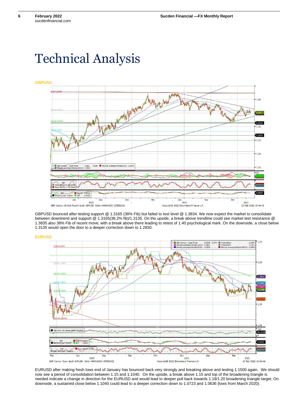# <span id="page-5-0"></span>Technical Analysis



GBPUSD bounced after testing support @ 1.3165 (38% Fib) but failed to test level @ 1.3834. We now expect the market to consolidate between downtrend and support @ 1.3165(38.2% fib)/1.3135. On the upside, a break above trendline could see market test resistance @ 1.3835 also 38% Fib of recent move; with a break above there leading to retest of 1.40 psychological mark. On the downside, a close below 1.3135 would open the door to a deeper correction down to 1.2830.

**EURUSD**



EURUSD after making fresh lows end of January has bounced back very strongly and breaking above and testing 1.1500 again. We should now see a period of consolidation between 1.15 and 1.1040. On the upside, a break above 1.15 and top of the broadening triangle is needed indicate a change in direction for the EURUSD and would lead to deeper pull back towards 1.19/1.20 broadening triangle target. On downside, a sustained close below 1.1040 could lead to a deeper correction down to 1.0723 and 1.0636 (lows from March 2020).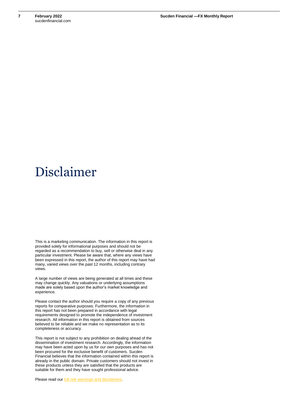# <span id="page-6-0"></span>Disclaimer

This is a marketing communication. The information in this report is provided solely for informational purposes and should not be regarded as a recommendation to buy, sell or otherwise deal in any particular investment. Please be aware that, where any views have been expressed in this report, the author of this report may have had many, varied views over the past 12 months, including contrary views.

A large number of views are being generated at all times and these may change quickly. Any valuations or underlying assumptions made are solely based upon the author's market knowledge and experience.

Please contact the author should you require a copy of any previous reports for comparative purposes. Furthermore, the information in this report has not been prepared in accordance with legal requirements designed to promote the independence of investment research. All information in this report is obtained from sources believed to be reliable and we make no representation as to its completeness or accuracy.

This report is not subject to any prohibition on dealing ahead of the dissemination of investment research. Accordingly, the information may have been acted upon by us for our own purposes and has not been procured for the exclusive benefit of customers. Sucden Financial believes that the information contained within this report is already in the public domain. Private customers should not invest in these products unless they are satisfied that the products are suitable for them and they have sought professional advice.

Please read our [full risk warnings and disclaimers.](https://www.sucdenfinancial.com/risk-warning-and-disclaimers/)